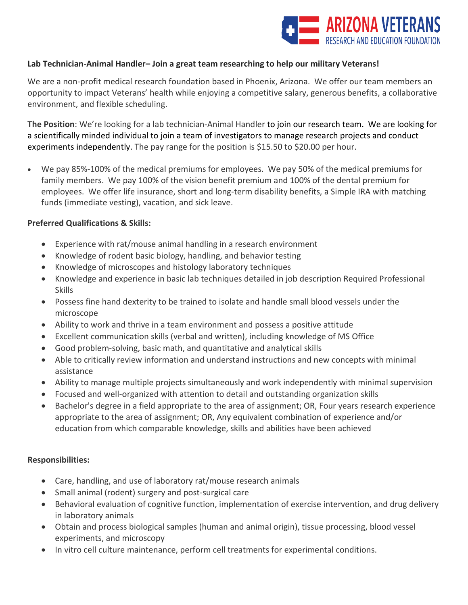

## **Lab Technician-Animal Handler– Join a great team researching to help our military Veterans!**

We are a non-profit medical research foundation based in Phoenix, Arizona. We offer our team members an opportunity to impact Veterans' health while enjoying a competitive salary, generous benefits, a collaborative environment, and flexible scheduling.

**The Position**: We're looking for a lab technician-Animal Handler to join our research team. We are looking for a scientifically minded individual to join a team of investigators to manage research projects and conduct experiments independently. The pay range for the position is \$15.50 to \$20.00 per hour.

• We pay 85%-100% of the medical premiums for employees. We pay 50% of the medical premiums for family members. We pay 100% of the vision benefit premium and 100% of the dental premium for employees. We offer life insurance, short and long-term disability benefits, a Simple IRA with matching funds (immediate vesting), vacation, and sick leave.

## **Preferred Qualifications & Skills:**

- Experience with rat/mouse animal handling in a research environment
- Knowledge of rodent basic biology, handling, and behavior testing
- Knowledge of microscopes and histology laboratory techniques
- Knowledge and experience in basic lab techniques detailed in job description Required Professional Skills
- Possess fine hand dexterity to be trained to isolate and handle small blood vessels under the microscope
- Ability to work and thrive in a team environment and possess a positive attitude
- Excellent communication skills (verbal and written), including knowledge of MS Office
- Good problem-solving, basic math, and quantitative and analytical skills
- Able to critically review information and understand instructions and new concepts with minimal assistance
- Ability to manage multiple projects simultaneously and work independently with minimal supervision
- Focused and well-organized with attention to detail and outstanding organization skills
- Bachelor's degree in a field appropriate to the area of assignment; OR, Four years research experience appropriate to the area of assignment; OR, Any equivalent combination of experience and/or education from which comparable knowledge, skills and abilities have been achieved

## **Responsibilities:**

- Care, handling, and use of laboratory rat/mouse research animals
- Small animal (rodent) surgery and post-surgical care
- Behavioral evaluation of cognitive function, implementation of exercise intervention, and drug delivery in laboratory animals
- Obtain and process biological samples (human and animal origin), tissue processing, blood vessel experiments, and microscopy
- In vitro cell culture maintenance, perform cell treatments for experimental conditions.